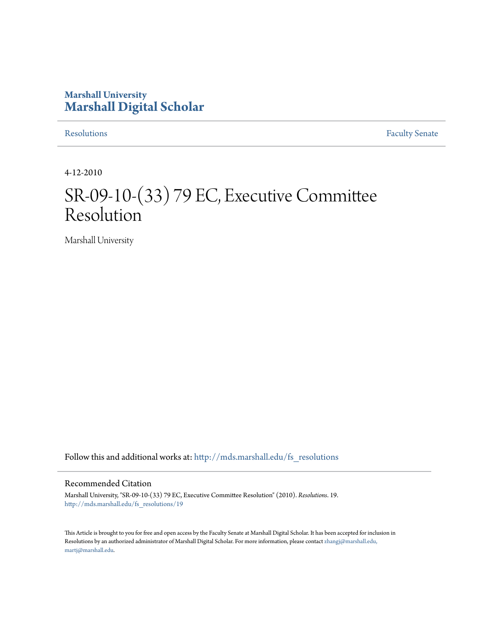## **Marshall University [Marshall Digital Scholar](http://mds.marshall.edu?utm_source=mds.marshall.edu%2Ffs_resolutions%2F19&utm_medium=PDF&utm_campaign=PDFCoverPages)**

[Resolutions](http://mds.marshall.edu/fs_resolutions?utm_source=mds.marshall.edu%2Ffs_resolutions%2F19&utm_medium=PDF&utm_campaign=PDFCoverPages) [Faculty Senate](http://mds.marshall.edu/fs?utm_source=mds.marshall.edu%2Ffs_resolutions%2F19&utm_medium=PDF&utm_campaign=PDFCoverPages)

4-12-2010

# SR-09-10-(33) 79 EC, Executive Committee Resolution

Marshall University

Follow this and additional works at: [http://mds.marshall.edu/fs\\_resolutions](http://mds.marshall.edu/fs_resolutions?utm_source=mds.marshall.edu%2Ffs_resolutions%2F19&utm_medium=PDF&utm_campaign=PDFCoverPages)

#### Recommended Citation

Marshall University, "SR-09-10-(33) 79 EC, Executive Committee Resolution" (2010). *Resolutions*. 19. [http://mds.marshall.edu/fs\\_resolutions/19](http://mds.marshall.edu/fs_resolutions/19?utm_source=mds.marshall.edu%2Ffs_resolutions%2F19&utm_medium=PDF&utm_campaign=PDFCoverPages)

This Article is brought to you for free and open access by the Faculty Senate at Marshall Digital Scholar. It has been accepted for inclusion in Resolutions by an authorized administrator of Marshall Digital Scholar. For more information, please contact [zhangj@marshall.edu,](mailto:zhangj@marshall.edu,%20martj@marshall.edu) [martj@marshall.edu](mailto:zhangj@marshall.edu,%20martj@marshall.edu).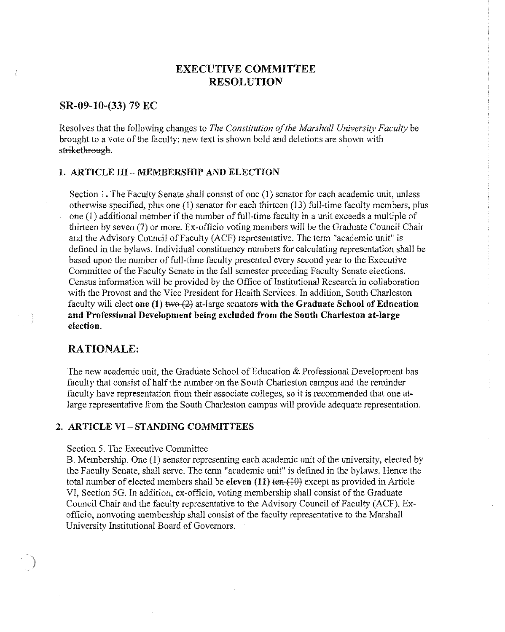## **EXECUTIVE COMMITTEE RESOLUTION**

#### **SR-09-10-(33) 79 EC**

Resolves that the following changes to *The Constitution of the Marshall University Faculty* be brought to a vote of the faculty; new text is shown bold and deletions are shown with strikethrough.

#### **1. ARTICLE III - MEMBERSHIP AND ELECTION**

Section 1. The Faculty Senate shall consist of one (1) senator for each academic unit, unless otherwise specified, plus one  $(1)$  senator for each thirteen  $(13)$  full-time faculty members, plus one (I) additional member if the number of full-time faculty in a unit exceeds a multiple of thirteen by seven (7) or more. Ex-officio voting members will be the Graduate Council Chair and the Advisory Council of Faculty (ACF) representative. The term "academic unit" is defined in the bylaws. Individual constituency numbers for calculating representation shall be based upon the number of full-time faculty presented every second year to the Executive Committee of the Faculty Senate in the fall semester preceding Faculty Senate elections. Census information will be provided by the Office of Institutional Research in collaboration with the Provost and the Vice President for Health Services. In addilion, South Charleston faculty will elect **one (1)** two (2) at-large senators **with the Graduate School of Education and Professional Development being excluded from the South Charleston at-large election.** 

### **RATIONALE:**

**CARBAGERS** 

The new academic unit, the Graduate School of Education & Professional Development has faculty that consist of half the number on the South Charleston campus and the reminder faculty have representation from their associate colleges, so it is recommended that one atlarge representative from the South Charleston campus will provide adequate representation.

#### **2. ARTICLE VI- STANDING COMMITTEES**

#### Section 5. The Executive Committee

B. Membership. One (1) senator representing each academic unit of the university, elected by the Faculty Senate, shall serve. The term "academic unit" is defined in the bylaws. Hence the total number of elected members shall be **eleven (11)** ten (10) except as provided in Article VI, Section 5G. In addition, ex-officio, voting membership shall consist of the Graduate Council Chair and the faculty representative to the Advisory Council of Faculty (ACF). Exofficio, nonvoting membership shall consist of the faculty representative to the Marshall University Institutional Board of Governors.